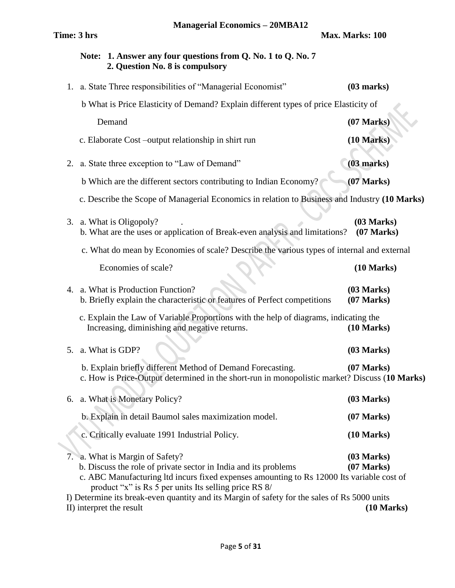**Managerial Economics – 20MBA12**

**Time: 3 hrs Max. Marks: 100** 

|    | Note: 1. Answer any four questions from Q. No. 1 to Q. No. 7<br>2. Question No. 8 is compulsory                                                                                                                                                       |                               |  |  |
|----|-------------------------------------------------------------------------------------------------------------------------------------------------------------------------------------------------------------------------------------------------------|-------------------------------|--|--|
|    | 1. a. State Three responsibilities of "Managerial Economist"                                                                                                                                                                                          | $(03$ marks)                  |  |  |
|    | b What is Price Elasticity of Demand? Explain different types of price Elasticity of                                                                                                                                                                  |                               |  |  |
|    | Demand                                                                                                                                                                                                                                                | (07 Marks)                    |  |  |
|    | c. Elaborate Cost –output relationship in shirt run                                                                                                                                                                                                   | (10 Marks)                    |  |  |
| 2. | a. State three exception to "Law of Demand"                                                                                                                                                                                                           | $(03$ marks)                  |  |  |
|    | b Which are the different sectors contributing to Indian Economy?                                                                                                                                                                                     | $(07$ Marks)                  |  |  |
|    | c. Describe the Scope of Managerial Economics in relation to Business and Industry (10 Marks)                                                                                                                                                         |                               |  |  |
| 3. | a. What is Oligopoly?<br>b. What are the uses or application of Break-even analysis and limitations?                                                                                                                                                  | (03 Marks)<br>$(07$ Marks)    |  |  |
|    | c. What do mean by Economies of scale? Describe the various types of internal and external                                                                                                                                                            |                               |  |  |
|    | Economies of scale?                                                                                                                                                                                                                                   | (10 Marks)                    |  |  |
|    | 4. a. What is Production Function?<br>b. Briefly explain the characteristic or features of Perfect competitions                                                                                                                                       | (03 Marks)<br>$(07$ Marks $)$ |  |  |
|    | c. Explain the Law of Variable Proportions with the help of diagrams, indicating the<br>Increasing, diminishing and negative returns.                                                                                                                 | $(10 \text{ Marks})$          |  |  |
| 5. | a. What is GDP?                                                                                                                                                                                                                                       | (03 Marks)                    |  |  |
|    | b. Explain briefly different Method of Demand Forecasting.<br>c. How is Price-Output determined in the short-run in monopolistic market? Discuss (10 Marks)                                                                                           | $(07$ Marks)                  |  |  |
| 6. | a. What is Monetary Policy?                                                                                                                                                                                                                           | (03 Marks)                    |  |  |
|    | b. Explain in detail Baumol sales maximization model.                                                                                                                                                                                                 | $(07$ Marks)                  |  |  |
|    | c. Critically evaluate 1991 Industrial Policy.                                                                                                                                                                                                        | $(10 \text{ Marks})$          |  |  |
|    | a. What is Margin of Safety?<br>b. Discuss the role of private sector in India and its problems<br>c. ABC Manufacturing ltd incurs fixed expenses amounting to Rs 12000 Its variable cost of<br>product "x" is Rs 5 per units Its selling price RS 8/ | (03 Marks)<br>$(07$ Marks)    |  |  |
|    | I) Determine its break-even quantity and its Margin of safety for the sales of Rs 5000 units<br>II) interpret the result                                                                                                                              | $(10 \text{ Marks})$          |  |  |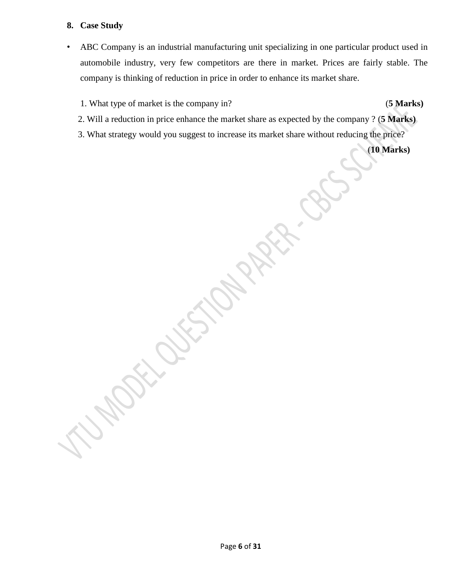# **8. Case Study**

• ABC Company is an industrial manufacturing unit specializing in one particular product used in automobile industry, very few competitors are there in market. Prices are fairly stable. The company is thinking of reduction in price in order to enhance its market share.

1. What type of market is the company in? (**5 Marks)**

- 2. Will a reduction in price enhance the market share as expected by the company ? (**5 Marks)**
- 3. What strategy would you suggest to increase its market share without reducing the price?

(**10 Marks)**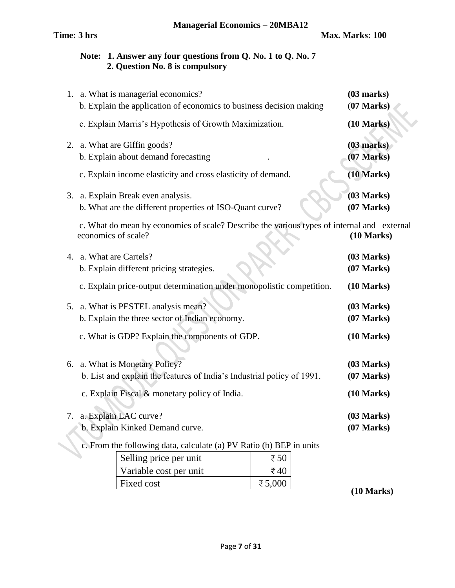# **Note: 1. Answer any four questions from Q. No. 1 to Q. No. 7 2. Question No. 8 is compulsory**

|    | 1. a. What is managerial economics?                                                                               | $(03$ marks)         |
|----|-------------------------------------------------------------------------------------------------------------------|----------------------|
|    | b. Explain the application of economics to business decision making                                               | $(07$ Marks)         |
|    | c. Explain Marris's Hypothesis of Growth Maximization.                                                            | (10 Marks)           |
| 2. | a. What are Giffin goods?                                                                                         | $(03$ marks)         |
|    | b. Explain about demand forecasting                                                                               | (07 Marks)           |
|    | c. Explain income elasticity and cross elasticity of demand.                                                      | (10 Marks)           |
|    | 3. a. Explain Break even analysis.                                                                                | (03 Marks)           |
|    | b. What are the different properties of ISO-Quant curve?                                                          | (07 Marks)           |
|    | c. What do mean by economies of scale? Describe the various types of internal and external<br>economics of scale? | $(10 \text{ Marks})$ |
| 4. | a. What are Cartels?                                                                                              | (03 Marks)           |
|    | b. Explain different pricing strategies.                                                                          | (07 Marks)           |
|    | c. Explain price-output determination under monopolistic competition.                                             | $(10 \text{ Marks})$ |
| 5. | a. What is PESTEL analysis mean?                                                                                  | (03 Marks)           |
|    | b. Explain the three sector of Indian economy.                                                                    | (07 Marks)           |
|    | c. What is GDP? Explain the components of GDP.                                                                    | $(10 \text{ Marks})$ |
|    | 6. a. What is Monetary Policy?                                                                                    | (03 Marks)           |
|    | b. List and explain the features of India's Industrial policy of 1991.                                            | $(07$ Marks)         |
|    | c. Explain Fiscal & monetary policy of India.                                                                     | $(10 \text{ Marks})$ |
| 7. | a. Explain LAC curve?                                                                                             | (03 Marks)           |
|    | b. Explain Kinked Demand curve.                                                                                   | $(07$ Marks)         |
|    | c. From the following data, calculate (a) PV Ratio (b) BEP in units                                               |                      |
|    | Selling price per unit<br>₹50                                                                                     |                      |
|    | Variable cost per unit<br>₹40                                                                                     |                      |
|    | Fixed cost<br>₹ $5,000$                                                                                           | (10 Marks)           |
|    |                                                                                                                   |                      |